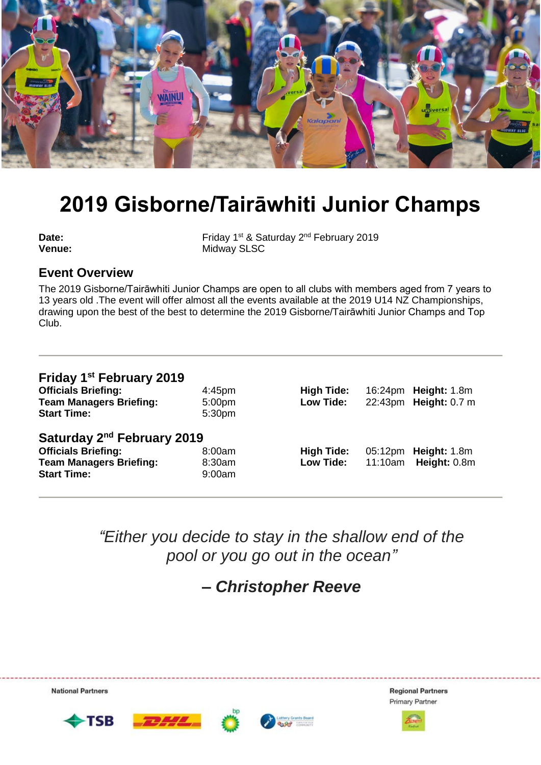

# **2019 Gisborne/Tairāwhiti Junior Champs**

Date: **Date:** Friday 1<sup>st</sup> & Saturday 2<sup>nd</sup> February 2019 **Venue:** Midway SLSC

#### **Event Overview**

The 2019 Gisborne/Tairāwhiti Junior Champs are open to all clubs with members aged from 7 years to 13 years old .The event will offer almost all the events available at the 2019 U14 NZ Championships, drawing upon the best of the best to determine the 2019 Gisborne/Tairāwhiti Junior Champs and Top Club.

# **Friday 1 st February 2019**

| <b>Officials Briefing:</b>             | $4:45$ pm          | <b>High Tide:</b> | 16:24pm Height: 1.8m  |
|----------------------------------------|--------------------|-------------------|-----------------------|
| <b>Team Managers Briefing:</b>         | 5:00 <sub>pm</sub> | Low Tide:         | 22:43pm Height: 0.7 m |
| <b>Start Time:</b>                     | 5:30 <sub>pm</sub> |                   |                       |
| Saturday 2 <sup>nd</sup> February 2019 |                    |                   |                       |
| <b>Officials Briefing:</b>             | 8:00am             | <b>High Tide:</b> | 05:12pm Height: 1.8m  |
| <b>Team Managers Briefing:</b>         | 8:30am             | <b>Low Tide:</b>  | 11:10am Height: 0.8m  |
| <b>Start Time:</b>                     | 9:00am             |                   |                       |
|                                        |                    |                   |                       |

*"Either you decide to stay in the shallow end of the pool or you go out in the ocean"*

*– Christopher Reeve*

**National Partners** 









**Regional Partners** Primary Partner

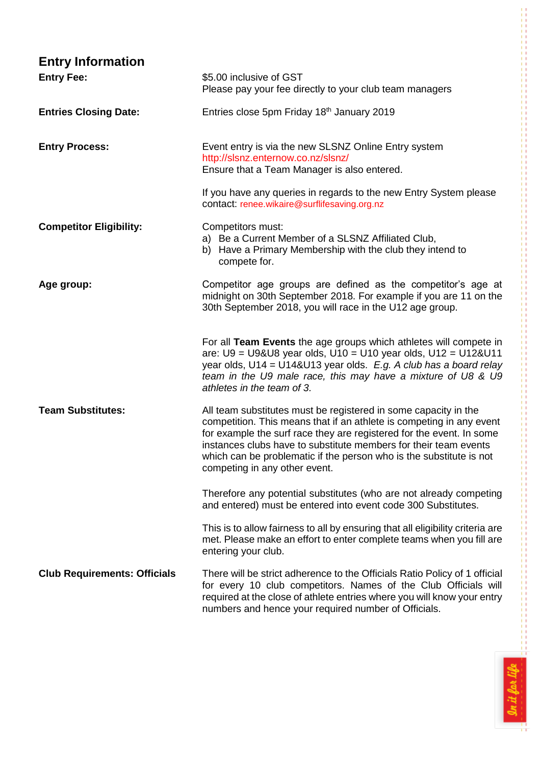| <b>Entry Information</b>            |                                                                                                                                                                                                                                                                                                                                                                                             |  |  |
|-------------------------------------|---------------------------------------------------------------------------------------------------------------------------------------------------------------------------------------------------------------------------------------------------------------------------------------------------------------------------------------------------------------------------------------------|--|--|
| <b>Entry Fee:</b>                   | \$5.00 inclusive of GST<br>Please pay your fee directly to your club team managers                                                                                                                                                                                                                                                                                                          |  |  |
| <b>Entries Closing Date:</b>        | Entries close 5pm Friday 18th January 2019                                                                                                                                                                                                                                                                                                                                                  |  |  |
| <b>Entry Process:</b>               | Event entry is via the new SLSNZ Online Entry system<br>http://slsnz.enternow.co.nz/slsnz/<br>Ensure that a Team Manager is also entered.                                                                                                                                                                                                                                                   |  |  |
|                                     | If you have any queries in regards to the new Entry System please<br>contact: renee.wikaire@surflifesaving.org.nz                                                                                                                                                                                                                                                                           |  |  |
| <b>Competitor Eligibility:</b>      | Competitors must:<br>a) Be a Current Member of a SLSNZ Affiliated Club,<br>b) Have a Primary Membership with the club they intend to<br>compete for.                                                                                                                                                                                                                                        |  |  |
| Age group:                          | Competitor age groups are defined as the competitor's age at<br>midnight on 30th September 2018. For example if you are 11 on the<br>30th September 2018, you will race in the U12 age group.                                                                                                                                                                                               |  |  |
|                                     | For all Team Events the age groups which athletes will compete in<br>are: $U9 = U98U8$ year olds, $U10 = U10$ year olds, $U12 = U128U11$<br>year olds, U14 = U14&U13 year olds. E.g. A club has a board relay<br>team in the U9 male race, this may have a mixture of U8 & U9<br>athletes in the team of 3.                                                                                 |  |  |
| <b>Team Substitutes:</b>            | All team substitutes must be registered in some capacity in the<br>competition. This means that if an athlete is competing in any event<br>for example the surf race they are registered for the event. In some<br>instances clubs have to substitute members for their team events<br>which can be problematic if the person who is the substitute is not<br>competing in any other event. |  |  |
|                                     | Therefore any potential substitutes (who are not already competing<br>and entered) must be entered into event code 300 Substitutes.                                                                                                                                                                                                                                                         |  |  |
|                                     | This is to allow fairness to all by ensuring that all eligibility criteria are<br>met. Please make an effort to enter complete teams when you fill are<br>entering your club.                                                                                                                                                                                                               |  |  |
| <b>Club Requirements: Officials</b> | There will be strict adherence to the Officials Ratio Policy of 1 official<br>for every 10 club competitors. Names of the Club Officials will<br>required at the close of athlete entries where you will know your entry<br>numbers and hence your required number of Officials.                                                                                                            |  |  |

In it far life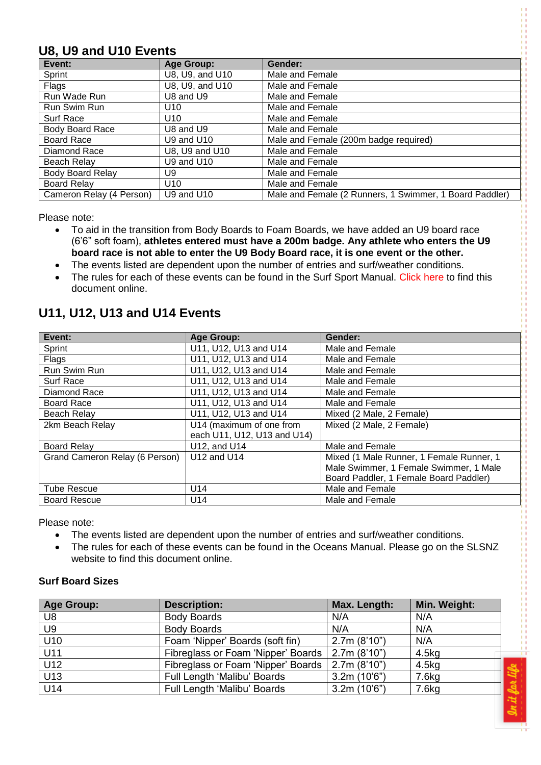# **U8, U9 and U10 Events**

| OU, UJ ANU UTU LVENIS    |                   |                                                         |  |  |
|--------------------------|-------------------|---------------------------------------------------------|--|--|
| Event:                   | <b>Age Group:</b> | Gender:                                                 |  |  |
| Sprint                   | U8, U9, and U10   | Male and Female                                         |  |  |
| Flags                    | U8, U9, and U10   | Male and Female                                         |  |  |
| Run Wade Run             | U8 and U9         | Male and Female                                         |  |  |
| Run Swim Run             | U <sub>10</sub>   | Male and Female                                         |  |  |
| Surf Race                | U <sub>10</sub>   | Male and Female                                         |  |  |
| <b>Body Board Race</b>   | U8 and U9         | Male and Female                                         |  |  |
| <b>Board Race</b>        | U9 and U10        | Male and Female (200m badge required)                   |  |  |
| Diamond Race             | U8, U9 and U10    | Male and Female                                         |  |  |
| Beach Relay              | U9 and U10        | Male and Female                                         |  |  |
| <b>Body Board Relay</b>  | U9                | Male and Female                                         |  |  |
| <b>Board Relay</b>       | U <sub>10</sub>   | Male and Female                                         |  |  |
| Cameron Relay (4 Person) | U9 and U10        | Male and Female (2 Runners, 1 Swimmer, 1 Board Paddler) |  |  |

Please note:

- To aid in the transition from Body Boards to Foam Boards, we have added an U9 board race (6'6" soft foam), **athletes entered must have a 200m badge. Any athlete who enters the U9 board race is not able to enter the U9 Body Board race, it is one event or the other.**
- The events listed are dependent upon the number of entries and surf/weather conditions.
- The rules for each of these events can be found in the Surf Sport Manual. [Click here](https://www.surflifesaving.org.nz/sport/about-us/surf-sport-manual) to find this document online.

| Event:                         | <b>Age Group:</b>           | Gender:                                  |  |
|--------------------------------|-----------------------------|------------------------------------------|--|
| Sprint                         | U11, U12, U13 and U14       | Male and Female                          |  |
| Flags                          | U11, U12, U13 and U14       | Male and Female                          |  |
| Run Swim Run                   | U11, U12, U13 and U14       | Male and Female                          |  |
| Surf Race                      | U11, U12, U13 and U14       | Male and Female                          |  |
| Diamond Race                   | U11, U12, U13 and U14       | Male and Female                          |  |
| <b>Board Race</b>              | U11, U12, U13 and U14       | Male and Female                          |  |
| Beach Relay                    | U11, U12, U13 and U14       | Mixed (2 Male, 2 Female)                 |  |
| 2km Beach Relay                | U14 (maximum of one from    | Mixed (2 Male, 2 Female)                 |  |
|                                | each U11, U12, U13 and U14) |                                          |  |
| <b>Board Relay</b>             | U12, and U14                | Male and Female                          |  |
| Grand Cameron Relay (6 Person) | U12 and U14                 | Mixed (1 Male Runner, 1 Female Runner, 1 |  |
|                                |                             | Male Swimmer, 1 Female Swimmer, 1 Male   |  |
|                                |                             | Board Paddler, 1 Female Board Paddler)   |  |
| <b>Tube Rescue</b>             | U14                         | Male and Female                          |  |
| <b>Board Rescue</b>            | U <sub>14</sub>             | Male and Female                          |  |

# **U11, U12, U13 and U14 Events**

Please note:

- The events listed are dependent upon the number of entries and surf/weather conditions.
- The rules for each of these events can be found in the Oceans Manual. Please go on the SLSNZ website to find this document online.

#### **Surf Board Sizes**

| Age Group: | <b>Description:</b>                               | Max. Length: | Min. Weight:      |
|------------|---------------------------------------------------|--------------|-------------------|
| U8         | <b>Body Boards</b>                                | N/A          | N/A               |
| U9         | <b>Body Boards</b>                                | N/A          | N/A               |
| U10        | Foam 'Nipper' Boards (soft fin)                   | 2.7m(8'10")  | N/A               |
| U11        | Fibreglass or Foam 'Nipper' Boards   2.7m (8'10") |              | 4.5kg             |
| U12        | Fibreglass or Foam 'Nipper' Boards                | 2.7m(8'10")  | 4.5kg             |
| U13        | Full Length 'Malibu' Boards                       | 3.2m(10'6")  | 7.6 <sub>kg</sub> |
| U14        | Full Length 'Malibu' Boards                       | 3.2m(10'6")  | 7.6kg             |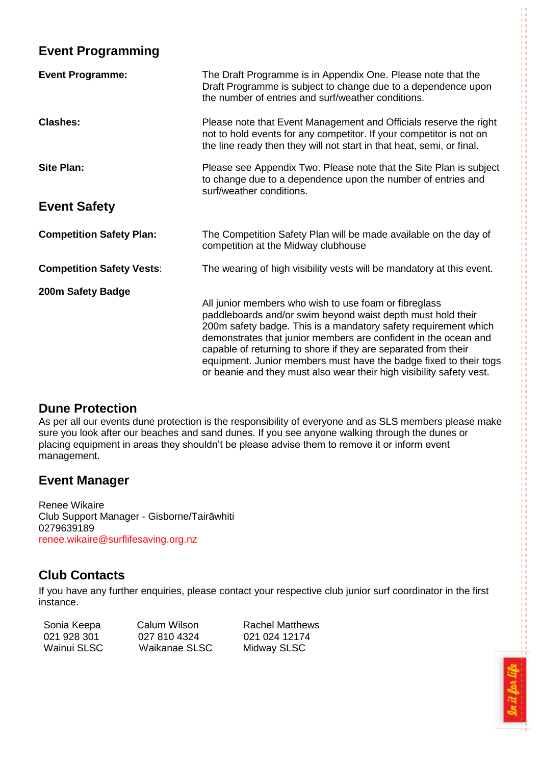# **Event Programming**

| <b>Event Programme:</b>          | The Draft Programme is in Appendix One. Please note that the<br>Draft Programme is subject to change due to a dependence upon<br>the number of entries and surf/weather conditions.                                                                                                                                                               |  |
|----------------------------------|---------------------------------------------------------------------------------------------------------------------------------------------------------------------------------------------------------------------------------------------------------------------------------------------------------------------------------------------------|--|
| <b>Clashes:</b>                  | Please note that Event Management and Officials reserve the right<br>not to hold events for any competitor. If your competitor is not on<br>the line ready then they will not start in that heat, semi, or final.                                                                                                                                 |  |
| <b>Site Plan:</b>                | Please see Appendix Two. Please note that the Site Plan is subject<br>to change due to a dependence upon the number of entries and<br>surf/weather conditions.                                                                                                                                                                                    |  |
| <b>Event Safety</b>              |                                                                                                                                                                                                                                                                                                                                                   |  |
| <b>Competition Safety Plan:</b>  | The Competition Safety Plan will be made available on the day of<br>competition at the Midway clubhouse                                                                                                                                                                                                                                           |  |
| <b>Competition Safety Vests:</b> | The wearing of high visibility vests will be mandatory at this event.                                                                                                                                                                                                                                                                             |  |
| 200m Safety Badge                | All junior members who wish to use foam or fibreglass<br>paddleboards and/or swim beyond waist depth must hold their                                                                                                                                                                                                                              |  |
|                                  | 200m safety badge. This is a mandatory safety requirement which<br>demonstrates that junior members are confident in the ocean and<br>capable of returning to shore if they are separated from their<br>equipment. Junior members must have the badge fixed to their togs<br>or beanie and they must also wear their high visibility safety vest. |  |

#### **Dune Protection**

As per all our events dune protection is the responsibility of everyone and as SLS members please make sure you look after our beaches and sand dunes. If you see anyone walking through the dunes or placing equipment in areas they shouldn't be please advise them to remove it or inform event management.

# **Event Manager**

Renee Wikaire Club Support Manager - Gisborne/Tairāwhiti 0279639189 [renee.wikaire@surflifesaving.org.nz](mailto:renee.wikaire@surflifesaving.org.nz)

# **Club Contacts**

If you have any further enquiries, please contact your respective club junior surf coordinator in the first instance.

021 928 301 027 810 4324 021 024 12174 Wainui SLSC Waikanae SLSC Midway SLSC

Sonia Keepa Calum Wilson Rachel Matthews

In it far li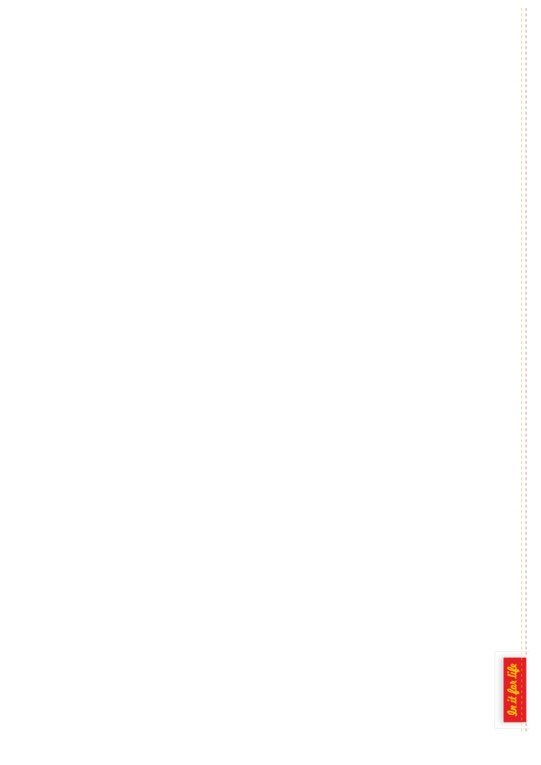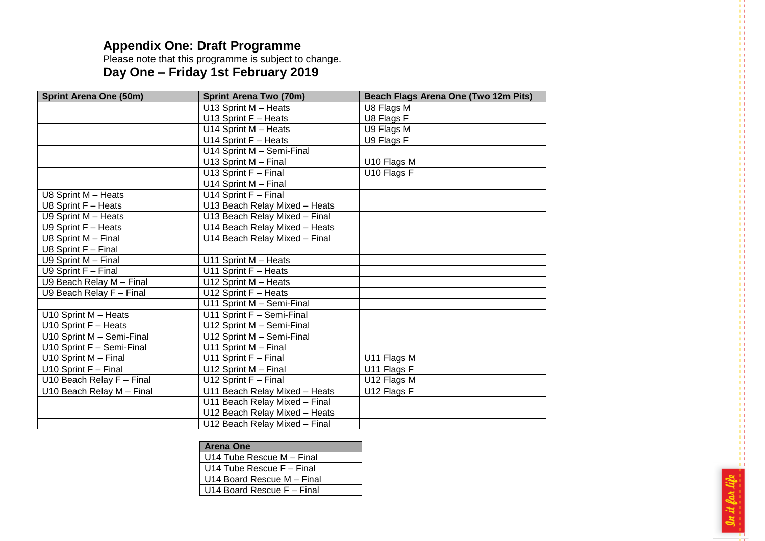# **Appendix One: Draft Programme**

Please note that this programme is subject to change. **Day One – Friday 1st February 2019**

| <b>Sprint Arena One (50m)</b> | <b>Sprint Arena Two (70m)</b> | Beach Flags Arena One (Two 12m Pits) |  |
|-------------------------------|-------------------------------|--------------------------------------|--|
|                               | U13 Sprint M - Heats          | U8 Flags M                           |  |
|                               | U13 Sprint F - Heats          | U8 Flags F                           |  |
|                               | U14 Sprint M - Heats          | U9 Flags M                           |  |
|                               | U14 Sprint F - Heats          | U9 Flags F                           |  |
|                               | U14 Sprint $M -$ Semi-Final   |                                      |  |
|                               | U13 Sprint $M$ – Final        | U10 Flags M                          |  |
|                               | U13 Sprint F - Final          | U10 Flags F                          |  |
|                               | U14 Sprint M - Final          |                                      |  |
| U8 Sprint M - Heats           | U14 Sprint F - Final          |                                      |  |
| U8 Sprint F - Heats           | U13 Beach Relay Mixed - Heats |                                      |  |
| U9 Sprint M - Heats           | U13 Beach Relay Mixed - Final |                                      |  |
| U9 Sprint F - Heats           | U14 Beach Relay Mixed - Heats |                                      |  |
| U8 Sprint M - Final           | U14 Beach Relay Mixed - Final |                                      |  |
| U8 Sprint F - Final           |                               |                                      |  |
| $U9$ Sprint M - Final         | U11 Sprint M - Heats          |                                      |  |
| U9 Sprint F - Final           | U11 Sprint F - Heats          |                                      |  |
| U9 Beach Relay M - Final      | U12 Sprint M - Heats          |                                      |  |
| U9 Beach Relay F - Final      | U12 Sprint F - Heats          |                                      |  |
|                               | U11 Sprint M - Semi-Final     |                                      |  |
| U10 Sprint M - Heats          | U11 Sprint F - Semi-Final     |                                      |  |
| U10 Sprint F - Heats          | U12 Sprint $M -$ Semi-Final   |                                      |  |
| U10 Sprint M - Semi-Final     | U12 Sprint M - Semi-Final     |                                      |  |
| U10 Sprint F - Semi-Final     | U11 Sprint M - Final          |                                      |  |
| $U10$ Sprint M - Final        | U11 Sprint F - Final          | U11 Flags M                          |  |
| U10 Sprint F - Final          | U12 Sprint M - Final          | U11 Flags F                          |  |
| U10 Beach Relay F - Final     | U12 Sprint F - Final          | U12 Flags M                          |  |
| U10 Beach Relay M - Final     | U11 Beach Relay Mixed - Heats | U12 Flags F                          |  |
|                               | U11 Beach Relay Mixed - Final |                                      |  |
|                               | U12 Beach Relay Mixed - Heats |                                      |  |
|                               | U12 Beach Relay Mixed - Final |                                      |  |

| <b>Arena One</b>                       |
|----------------------------------------|
| $\overline{U14}$ Tube Rescue M - Final |
| $\overline{U14}$ Tube Rescue F - Final |
| U14 Board Rescue M - Final             |
| U14 Board Rescue F - Final             |

 $\overline{\phantom{a}}$ 

πî Ħ

,我们也不是有多少的时候,我们也不是有多少的时候,我们也不是有多少的时候,我们也不是有多少的时候,我们也不是有多少的时候,我们也不是有多少的时候,我们也不是有多少的时候,我们也不会不是有多少的时候,我们也不会不是有多少的时候,我们也不会不是有多少的时候,我们也不会不会不会不会不会不会不会不会。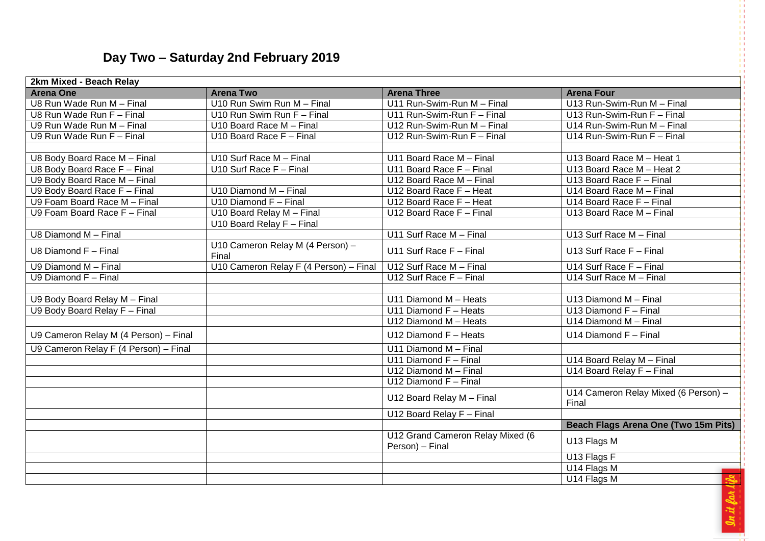# **Day Two – Saturday 2nd February 2019**

| 2km Mixed - Beach Relay               |                                           |                                                     |                                               |
|---------------------------------------|-------------------------------------------|-----------------------------------------------------|-----------------------------------------------|
| <b>Arena One</b>                      | <b>Arena Two</b>                          | <b>Arena Three</b>                                  | <b>Arena Four</b>                             |
| U8 Run Wade Run M - Final             | U10 Run Swim Run M - Final                | U11 Run-Swim-Run M - Final                          | U13 Run-Swim-Run M - Final                    |
| U8 Run Wade Run F - Final             | U10 Run Swim Run F - Final                | U11 Run-Swim-Run F - Final                          | U13 Run-Swim-Run F - Final                    |
| U9 Run Wade Run M - Final             | U10 Board Race M - Final                  | U12 Run-Swim-Run M - Final                          | U14 Run-Swim-Run M - Final                    |
| U9 Run Wade Run F - Final             | U10 Board Race F - Final                  | U12 Run-Swim-Run F - Final                          | U14 Run-Swim-Run F - Final                    |
|                                       |                                           |                                                     |                                               |
| U8 Body Board Race M - Final          | U10 Surf Race M - Final                   | U11 Board Race M - Final                            | U13 Board Race M - Heat 1                     |
| U8 Body Board Race F - Final          | U10 Surf Race F - Final                   | U11 Board Race F - Final                            | U13 Board Race M - Heat 2                     |
| U9 Body Board Race M - Final          |                                           | U12 Board Race M - Final                            | U13 Board Race F - Final                      |
| U9 Body Board Race F - Final          | $U10$ Diamond M - Final                   | U12 Board Race F - Heat                             | U14 Board Race M - Final                      |
| U9 Foam Board Race M - Final          | U10 Diamond F - Final                     | U12 Board Race F - Heat                             | U14 Board Race F - Final                      |
| U9 Foam Board Race F - Final          | U10 Board Relay M - Final                 | U12 Board Race F - Final                            | U13 Board Race M - Final                      |
|                                       | U10 Board Relay F - Final                 |                                                     |                                               |
| U8 Diamond M - Final                  |                                           | U11 Surf Race M - Final                             | U13 Surf Race M - Final                       |
| U8 Diamond F - Final                  | U10 Cameron Relay M (4 Person) -<br>Final | U11 Surf Race F - Final                             | U13 Surf Race F - Final                       |
| U9 Diamond M - Final                  | U10 Cameron Relay F (4 Person) - Final    | U12 Surf Race M - Final                             | U14 Surf Race F - Final                       |
| U9 Diamond F - Final                  |                                           | U12 Surf Race F - Final                             | U14 Surf Race M - Final                       |
|                                       |                                           |                                                     |                                               |
| U9 Body Board Relay M - Final         |                                           | U11 Diamond M - Heats                               | U13 Diamond M - Final                         |
| U9 Body Board Relay F - Final         |                                           | U11 Diamond F - Heats                               | U13 Diamond F - Final                         |
|                                       |                                           | U12 Diamond M - Heats                               | $U14$ Diamond M - Final                       |
| U9 Cameron Relay M (4 Person) - Final |                                           | U12 Diamond F - Heats                               | U14 Diamond F - Final                         |
| U9 Cameron Relay F (4 Person) - Final |                                           | U11 Diamond M - Final                               |                                               |
|                                       |                                           | U11 Diamond F - Final                               | U14 Board Relay M - Final                     |
|                                       |                                           | U12 Diamond M - Final                               | U14 Board Relay F - Final                     |
|                                       |                                           | U12 Diamond F - Final                               |                                               |
|                                       |                                           | U12 Board Relay M - Final                           | U14 Cameron Relay Mixed (6 Person) -<br>Final |
|                                       |                                           | U12 Board Relay F - Final                           |                                               |
|                                       |                                           |                                                     | <b>Beach Flags Arena One (Two 15m Pits)</b>   |
|                                       |                                           | U12 Grand Cameron Relay Mixed (6<br>Person) - Final | U13 Flags M                                   |
|                                       |                                           |                                                     | U13 Flags F                                   |
|                                       |                                           |                                                     | U14 Flags M                                   |
|                                       |                                           |                                                     | U14 Flags M                                   |

άî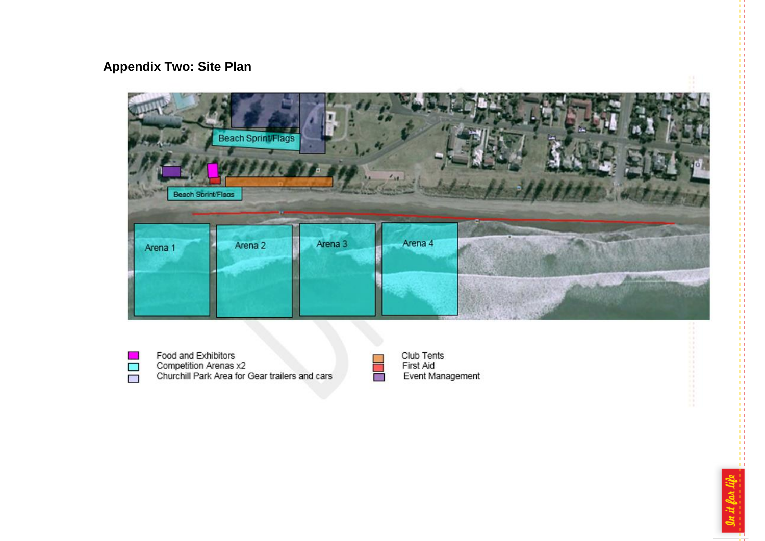# **Appendix Two: Site Plan**



 $\Box$ 

 $\blacksquare$ 

Food and Exhibitors<br>Competition Arenas x2

Churchill Park Area for Gear trailers and cars

Club Tents First Aid Event Management

 $\frac{1}{\sqrt{2}}$ 

**THE** 

H Ü